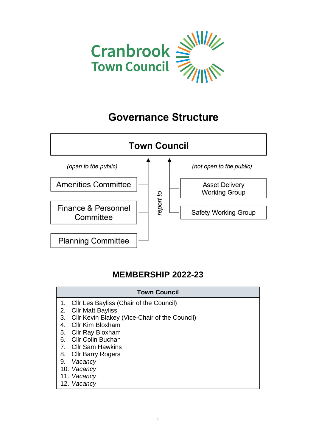

## **Governance Structure**



## **MEMBERSHIP 2022-23**

|                | <b>Town Council</b>                           |
|----------------|-----------------------------------------------|
|                | 1. Cllr Les Bayliss (Chair of the Council)    |
| 2.             | <b>CIIr Matt Bayliss</b>                      |
| 3.             | Cllr Kevin Blakey (Vice-Chair of the Council) |
| 4.             | <b>Cllr Kim Bloxham</b>                       |
| 5.             | <b>Cllr Ray Bloxham</b>                       |
| 6.             | <b>Cllr Colin Buchan</b>                      |
| 7 <sub>1</sub> | CIIr Sam Hawkins                              |
|                | 8. Cllr Barry Rogers                          |
| 9.             | Vacancy                                       |
|                | 10. Vacancy                                   |
|                | 11. Vacancy                                   |
|                | 12. Vacancy                                   |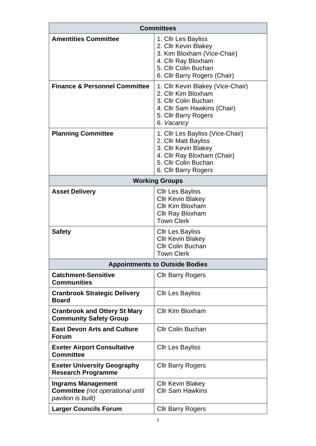| <b>Committees</b>                                                                   |                                                                                                                                                                 |  |  |
|-------------------------------------------------------------------------------------|-----------------------------------------------------------------------------------------------------------------------------------------------------------------|--|--|
| <b>Amentities Committee</b>                                                         | 1. Cllr Les Bayliss<br>2. Cllr Kevin Blakey<br>3. Kim Bloxham (Vice-Chair)<br>4. Cllr Ray Bloxham<br>5. Cllr Colin Buchan<br>6. Cllr Barry Rogers (Chair)       |  |  |
| <b>Finance &amp; Personnel Committee</b>                                            | 1. Cllr Kevin Blakey (Vice-Chair)<br>2. Cllr Kim Bloxham<br>3. Cllr Colin Buchan<br>4. Cllr Sam Hawkins (Chair)<br>5. Cllr Barry Rogers<br>6. Vacancy           |  |  |
| <b>Planning Committee</b>                                                           | 1. Cllr Les Bayliss (Vice-Chair)<br>2. Cllr Matt Bayliss<br>3. Cllr Kevin Blakey<br>4. Cllr Ray Bloxham (Chair)<br>5. Cllr Colin Buchan<br>6. Cllr Barry Rogers |  |  |
| <b>Working Groups</b>                                                               |                                                                                                                                                                 |  |  |
| <b>Asset Delivery</b>                                                               | <b>CIIr Les Bayliss</b><br><b>Cllr Kevin Blakey</b><br>Cllr Kim Bloxham<br>Cllr Ray Bloxham<br><b>Town Clerk</b>                                                |  |  |
| <b>Safety</b>                                                                       | <b>CIIr Les Bayliss</b><br><b>Cllr Kevin Blakey</b><br><b>Cllr Colin Buchan</b><br><b>Town Clerk</b>                                                            |  |  |
|                                                                                     | <b>Appointments to Outside Bodies</b>                                                                                                                           |  |  |
| <b>Catchment-Sensitive</b><br><b>Communities</b>                                    | <b>CIIr Barry Rogers</b>                                                                                                                                        |  |  |
| <b>Cranbrook Strategic Delivery</b><br><b>Board</b>                                 | <b>CIIr Les Bayliss</b>                                                                                                                                         |  |  |
| <b>Cranbrook and Ottery St Mary</b><br><b>Community Safety Group</b>                | Cllr Kim Bloxham                                                                                                                                                |  |  |
| <b>East Devon Arts and Culture</b><br><b>Forum</b>                                  | <b>Cllr Colin Buchan</b>                                                                                                                                        |  |  |
| <b>Exeter Airport Consultative</b><br><b>Committee</b>                              | <b>CIIr Les Bayliss</b>                                                                                                                                         |  |  |
| <b>Exeter University Geography</b><br><b>Research Programme</b>                     | <b>Cllr Barry Rogers</b>                                                                                                                                        |  |  |
| <b>Ingrams Management</b><br>Committee (not operational until<br>pavilion is built) | <b>CIIr Kevin Blakey</b><br><b>Cllr Sam Hawkins</b>                                                                                                             |  |  |
| <b>Larger Councils Forum</b>                                                        | <b>Cllr Barry Rogers</b>                                                                                                                                        |  |  |